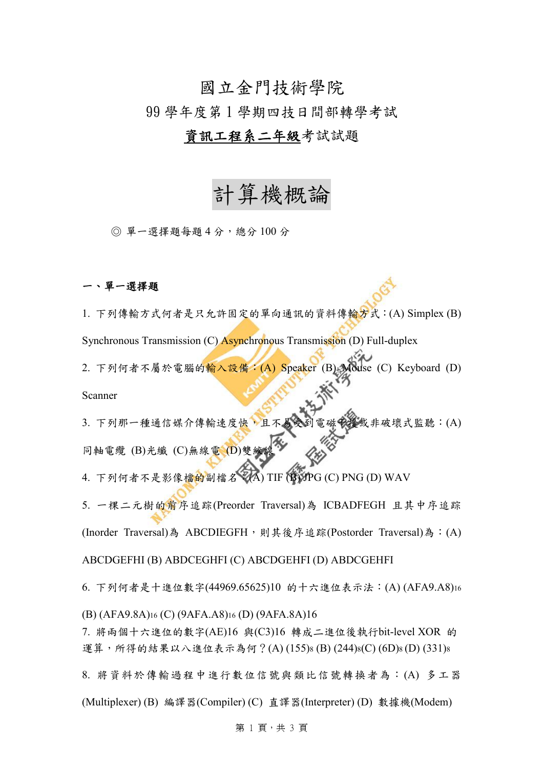# 國立金門技術學院

99 學年度第 1 學期四技日間部轉學考試

## 資訊工程系二年級考試試題

# 計算機概論

◎ 單一選擇題每題 4 分,總分 100 分

### 一、單一選擇題

1. 下列傳輸方式何者是只允許固定的單向通訊的資料傳輸方式:(A) Simplex (B) Synchronous Transmission (C) **Asynchronous** Transmission (D) Full-duplex 2. 下列何者不屬於電腦的輸入設備: (A) Speaker (B) Mouse (C) Keyboard (D)

Scanner

3. 下列那一種通信媒介傳輸速度快,且不易受到電磁安援或非破壞式監聽:(A) 同軸電纜 (B)光纖 (C)無線電 (D)雙線

4. 下列何者不是影像檔的副檔名: (A) TIF (B) JPG (C) PNG (D) WAV

5. 一棵二元樹的前序追踪(Preorder Traversal)為 ICBADFEGH 且其中序追踪 (Inorder Traversal)為 ABCDIEGFH,則其後序追踪(Postorder Traversal)為: (A)

ABCDGEFHI (B) ABDCEGHFI (C) ABCDGEHFI (D) ABDCGEHFI

6. 下列何者是十進位數字(44969.65625)10 的十六進位表示法:(A) (AFA9.A8)<sup>16</sup>

(B) (AFA9.8A)<sup>16</sup> (C) (9AFA.A8)<sup>16</sup> (D) (9AFA.8A)16

7. 將兩個十六進位的數字(AE)16 與(C3)16 轉成二進位後執行bit-level XOR 的 運算,所得的結果以八進位表示為何?(A)(155)8(B)(244)8(C)(6D)8(D)(331)8

8. 將資料於傳輸過程中進行數位信號與類比信號轉換者為:(A) 多工器

(Multiplexer) (B) 編譯器(Compiler) (C) 直譯器(Interpreter) (D) 數據機(Modem)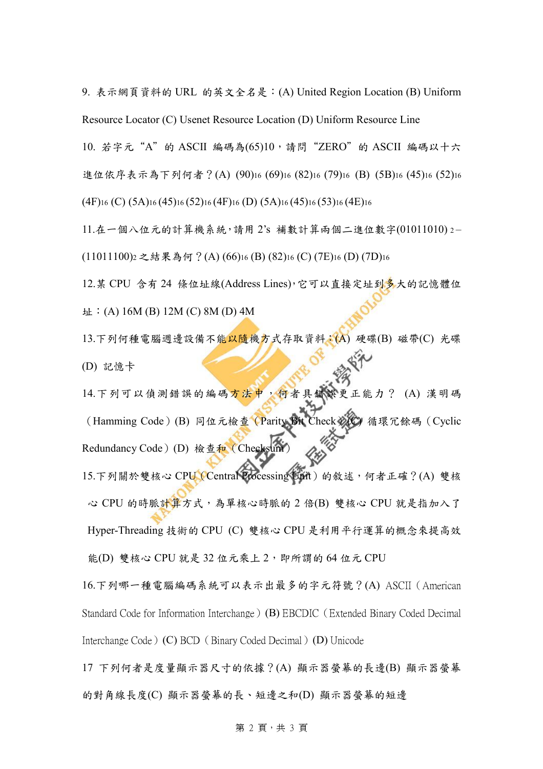9. 表示網頁資料的 URL 的英文全名是:(A) United Region Location (B) Uniform Resource Locator (C) Usenet Resource Location (D) Uniform Resource Line

10. 若字元"A"的 ASCII 編碼為(65)10,請問"ZERO"的 ASCII 編碼以十六 進位依序表示為下列何者?(A) (90)<sup>16</sup> (69)<sup>16</sup> (82)<sup>16</sup> (79)<sup>16</sup> (B) (5B)<sup>16</sup> (45)<sup>16</sup> (52)<sup>16</sup>  $(4F)_{16}$  (C)  $(5A)_{16}$   $(45)_{16}$   $(52)_{16}$   $(4F)_{16}$  (D)  $(5A)_{16}$   $(45)_{16}$   $(53)_{16}$   $(4E)_{16}$ 

 $11.4 - 11.4 - 11.4 + 11.4 + 11.4 + 11.4 + 11.4 + 11.4 + 11.4 + 11.4 + 11.4 + 11.4 + 11.4 + 11.4 + 11.4 + 11.4 + 11.4 + 11.4 + 11.4 + 11.4 + 11.4 + 11.4 + 11.4 + 11.4 + 11.4 + 11.4 + 11.4 + 11.4 + 11.4 + 11.4 + 11.4 + 11.4 + 11.4 + 11.4 + 11.4 + 11.4 + 11.$ 

(11011100)<sup>2</sup> 之結果為何?(A) (66)<sup>16</sup> (B) (82)<sup>16</sup> (C) (7E)<sup>16</sup> (D) (7D)<sup>16</sup>

12.某 CPU 含有 24 條位址線(Address Lines),它可以直接定址到多大的記憶體位 址:(A) 16M (B) 12M (C) 8M (D) 4M

13.下列何種電腦週邊設備不能以隨機方式存取資料:(A) 硬碟(B) 磁帶(C) 光碟 (D) 記憶卡

14.下列可以偵測錯誤的編碼方法中,何者具錯誤更正能力? (A) 漢明碼 (Hamming Code)(B) 同位元檢查(Parity Bit Check) Redundancy Code) (D) 檢查和 (Checksur 15.下列關於雙核心 CPU (Central Processing Unit) 的敘述,何者正確?(A) 雙核 心 CPU 的時脈計算方式,為單核心時脈的 2 倍(B) 雙核心 CPU 就是指加入了 Hyper-Threading 技術的 CPU (C) 雙核心 CPU 是利用平行運算的概念來提高效 能(D) 雙核心 CPU 就是 32 位元乘上 2, 即所謂的 64 位元 CPU

16.下列哪一種電腦編碼系統可以表示出最多的字元符號?(A) ASCII(American Standard Code for Information Interchange)(B) EBCDIC(Extended Binary Coded Decimal Interchange Code) (C) BCD (Binary Coded Decimal) (D) Unicode

17 下列何者是度量顯示器尺寸的依據?(A) 顯示器螢幕的長邊(B) 顯示器螢幕 的對角線長度(C) 顯示器螢幕的長、短邊之和(D) 顯示器螢幕的短邊

#### 第 2 頁,共3頁